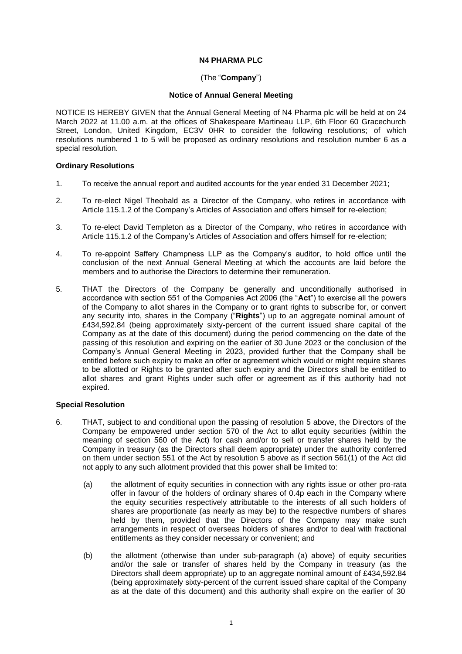# **N4 PHARMA PLC**

# (The "**Company**")

## **Notice of Annual General Meeting**

NOTICE IS HEREBY GIVEN that the Annual General Meeting of N4 Pharma plc will be held at on 24 March 2022 at 11.00 a.m. at the offices of Shakespeare Martineau LLP, 6th Floor 60 Gracechurch Street, London, United Kingdom, EC3V 0HR to consider the following resolutions; of which resolutions numbered 1 to 5 will be proposed as ordinary resolutions and resolution number 6 as a special resolution.

## **Ordinary Resolutions**

- 1. To receive the annual report and audited accounts for the year ended 31 December 2021;
- 2. To re-elect Nigel Theobald as a Director of the Company, who retires in accordance with Article 115.1.2 of the Company's Articles of Association and offers himself for re-election;
- 3. To re-elect David Templeton as a Director of the Company, who retires in accordance with Article 115.1.2 of the Company's Articles of Association and offers himself for re-election;
- 4. To re-appoint Saffery Champness LLP as the Company's auditor, to hold office until the conclusion of the next Annual General Meeting at which the accounts are laid before the members and to authorise the Directors to determine their remuneration.
- 5. THAT the Directors of the Company be generally and unconditionally authorised in accordance with section 551 of the Companies Act 2006 (the "**Act**") to exercise all the powers of the Company to allot shares in the Company or to grant rights to subscribe for, or convert any security into, shares in the Company ("**Rights**") up to an aggregate nominal amount of £434,592.84 (being approximately sixty-percent of the current issued share capital of the Company as at the date of this document) during the period commencing on the date of the passing of this resolution and expiring on the earlier of 30 June 2023 or the conclusion of the Company's Annual General Meeting in 2023, provided further that the Company shall be entitled before such expiry to make an offer or agreement which would or might require shares to be allotted or Rights to be granted after such expiry and the Directors shall be entitled to allot shares and grant Rights under such offer or agreement as if this authority had not expired.

## **Special Resolution**

- 6. THAT, subject to and conditional upon the passing of resolution 5 above, the Directors of the Company be empowered under section 570 of the Act to allot equity securities (within the meaning of section 560 of the Act) for cash and/or to sell or transfer shares held by the Company in treasury (as the Directors shall deem appropriate) under the authority conferred on them under section 551 of the Act by resolution 5 above as if section 561(1) of the Act did not apply to any such allotment provided that this power shall be limited to:
	- (a) the allotment of equity securities in connection with any rights issue or other pro-rata offer in favour of the holders of ordinary shares of 0.4p each in the Company where the equity securities respectively attributable to the interests of all such holders of shares are proportionate (as nearly as may be) to the respective numbers of shares held by them, provided that the Directors of the Company may make such arrangements in respect of overseas holders of shares and/or to deal with fractional entitlements as they consider necessary or convenient; and
	- (b) the allotment (otherwise than under sub-paragraph (a) above) of equity securities and/or the sale or transfer of shares held by the Company in treasury (as the Directors shall deem appropriate) up to an aggregate nominal amount of £434,592.84 (being approximately sixty-percent of the current issued share capital of the Company as at the date of this document) and this authority shall expire on the earlier of 30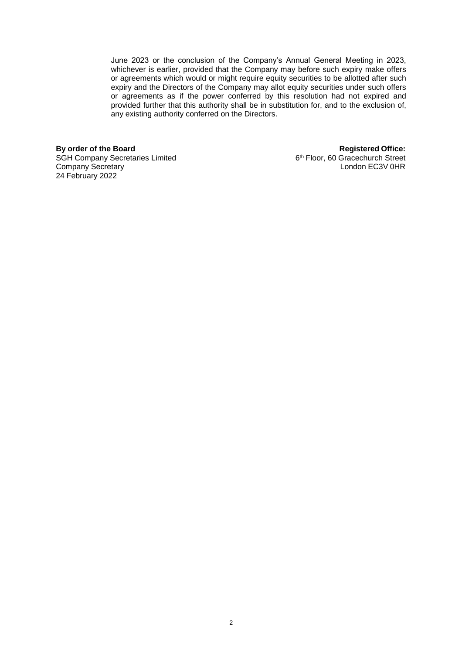June 2023 or the conclusion of the Company's Annual General Meeting in 2023, whichever is earlier, provided that the Company may before such expiry make offers or agreements which would or might require equity securities to be allotted after such expiry and the Directors of the Company may allot equity securities under such offers or agreements as if the power conferred by this resolution had not expired and provided further that this authority shall be in substitution for, and to the exclusion of, any existing authority conferred on the Directors.

**By order of the Board Registered Office:** SGH Company Secretaries Limited Company Secretary 24 February 2022

6<sup>th</sup> Floor, 60 Gracechurch Street<br>London EC3V 0HR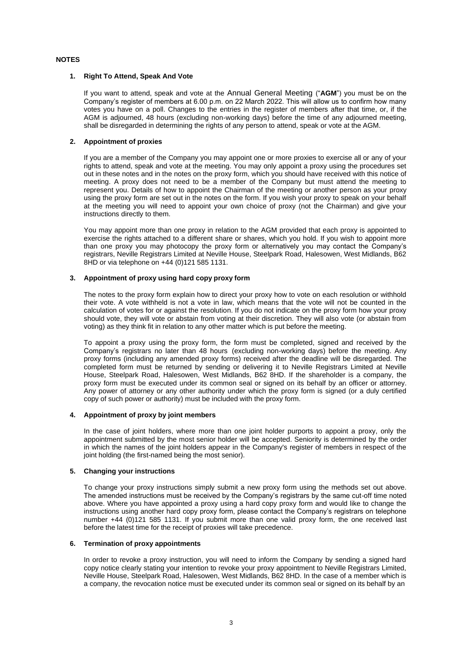## **NOTES**

### **1. Right To Attend, Speak And Vote**

If you want to attend, speak and vote at the Annual General Meeting ("**AGM**") you must be on the Company's register of members at 6.00 p.m. on 22 March 2022. This will allow us to confirm how many votes you have on a poll. Changes to the entries in the register of members after that time, or, if the AGM is adjourned, 48 hours (excluding non-working days) before the time of any adjourned meeting, shall be disregarded in determining the rights of any person to attend, speak or vote at the AGM.

## **2. Appointment of proxies**

If you are a member of the Company you may appoint one or more proxies to exercise all or any of your rights to attend, speak and vote at the meeting. You may only appoint a proxy using the procedures set out in these notes and in the notes on the proxy form, which you should have received with this notice of meeting. A proxy does not need to be a member of the Company but must attend the meeting to represent you. Details of how to appoint the Chairman of the meeting or another person as your proxy using the proxy form are set out in the notes on the form. If you wish your proxy to speak on your behalf at the meeting you will need to appoint your own choice of proxy (not the Chairman) and give your instructions directly to them.

You may appoint more than one proxy in relation to the AGM provided that each proxy is appointed to exercise the rights attached to a different share or shares, which you hold. If you wish to appoint more than one proxy you may photocopy the proxy form or alternatively you may contact the Company's registrars, Neville Registrars Limited at Neville House, Steelpark Road, Halesowen, West Midlands, B62 8HD or via telephone on +44 (0)121 585 1131.

## **3. Appointment of proxy using hard copy proxy form**

The notes to the proxy form explain how to direct your proxy how to vote on each resolution or withhold their vote. A vote withheld is not a vote in law, which means that the vote will not be counted in the calculation of votes for or against the resolution. If you do not indicate on the proxy form how your proxy should vote, they will vote or abstain from voting at their discretion. They will also vote (or abstain from voting) as they think fit in relation to any other matter which is put before the meeting.

To appoint a proxy using the proxy form, the form must be completed, signed and received by the Company's registrars no later than 48 hours (excluding non-working days) before the meeting. Any proxy forms (including any amended proxy forms) received after the deadline will be disregarded. The completed form must be returned by sending or delivering it to Neville Registrars Limited at Neville House, Steelpark Road, Halesowen, West Midlands, B62 8HD. If the shareholder is a company, the proxy form must be executed under its common seal or signed on its behalf by an officer or attorney. Any power of attorney or any other authority under which the proxy form is signed (or a duly certified copy of such power or authority) must be included with the proxy form.

### **4. Appointment of proxy by joint members**

In the case of joint holders, where more than one joint holder purports to appoint a proxy, only the appointment submitted by the most senior holder will be accepted. Seniority is determined by the order in which the names of the joint holders appear in the Company's register of members in respect of the joint holding (the first-named being the most senior).

## **5. Changing your instructions**

To change your proxy instructions simply submit a new proxy form using the methods set out above. The amended instructions must be received by the Company's registrars by the same cut-off time noted above. Where you have appointed a proxy using a hard copy proxy form and would like to change the instructions using another hard copy proxy form, please contact the Company's registrars on telephone number +44 (0)121 585 1131. If you submit more than one valid proxy form, the one received last before the latest time for the receipt of proxies will take precedence.

### **6. Termination of proxy appointments**

In order to revoke a proxy instruction, you will need to inform the Company by sending a signed hard copy notice clearly stating your intention to revoke your proxy appointment to Neville Registrars Limited, Neville House, Steelpark Road, Halesowen, West Midlands, B62 8HD. In the case of a member which is a company, the revocation notice must be executed under its common seal or signed on its behalf by an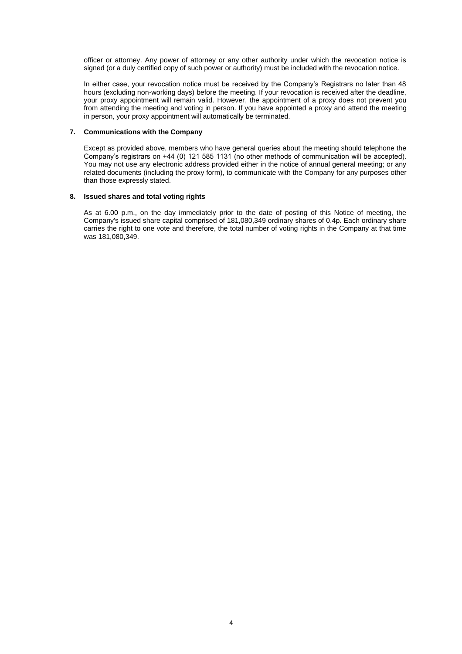officer or attorney. Any power of attorney or any other authority under which the revocation notice is signed (or a duly certified copy of such power or authority) must be included with the revocation notice.

In either case, your revocation notice must be received by the Company's Registrars no later than 48 hours (excluding non-working days) before the meeting. If your revocation is received after the deadline, your proxy appointment will remain valid. However, the appointment of a proxy does not prevent you from attending the meeting and voting in person. If you have appointed a proxy and attend the meeting in person, your proxy appointment will automatically be terminated.

## **7. Communications with the Company**

Except as provided above, members who have general queries about the meeting should telephone the Company's registrars on +44 (0) 121 585 1131 (no other methods of communication will be accepted). You may not use any electronic address provided either in the notice of annual general meeting; or any related documents (including the proxy form), to communicate with the Company for any purposes other than those expressly stated.

### **8. Issued shares and total voting rights**

As at 6.00 p.m., on the day immediately prior to the date of posting of this Notice of meeting, the Company's issued share capital comprised of 181,080,349 ordinary shares of 0.4p. Each ordinary share carries the right to one vote and therefore, the total number of voting rights in the Company at that time was 181,080,349.